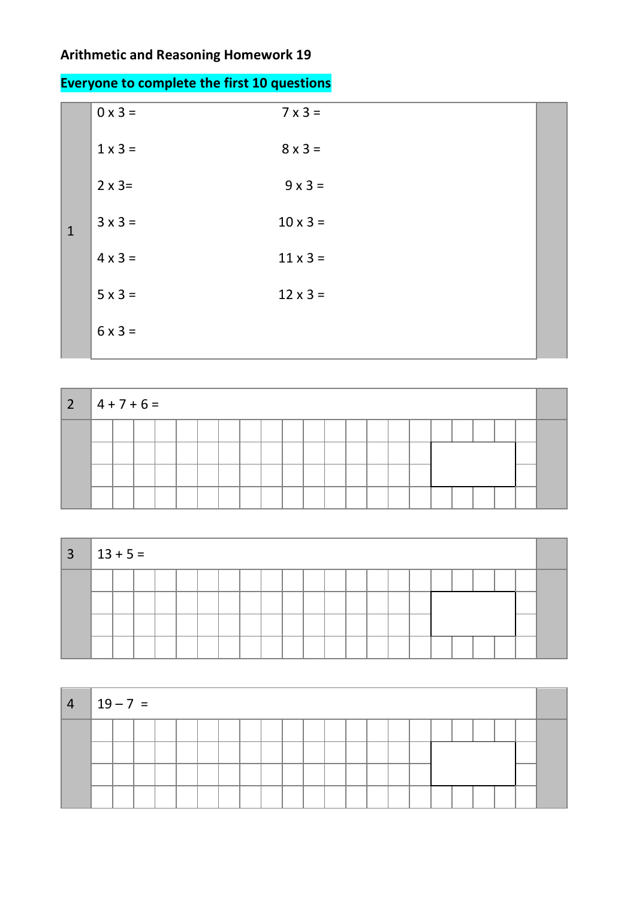## **Arithmetic and Reasoning Homework 19**

|                | $\sim$ , and the set of the set of the set of the set of the set of the set of the set of the set of the set of the set of the set of the set of the set of the set of the set of the set of the set of the set of the set of t |
|----------------|---------------------------------------------------------------------------------------------------------------------------------------------------------------------------------------------------------------------------------|
| $0 \times 3 =$ | $7 \times 3 =$                                                                                                                                                                                                                  |
| $1 \times 3 =$ | $8 \times 3 =$                                                                                                                                                                                                                  |
| $2 \times 3=$  | $9 \times 3 =$                                                                                                                                                                                                                  |
| $3 \times 3 =$ | $10 \times 3 =$                                                                                                                                                                                                                 |
| $4 \times 3 =$ | $11 \times 3 =$                                                                                                                                                                                                                 |
| $5 \times 3 =$ | $12 \times 3 =$                                                                                                                                                                                                                 |
| $6 \times 3 =$ |                                                                                                                                                                                                                                 |
|                |                                                                                                                                                                                                                                 |

| $\vert 2 \vert$ | $4 + 7 + 6 =$ |  |  |  |  |  |  |  |  |  |  |  |
|-----------------|---------------|--|--|--|--|--|--|--|--|--|--|--|
|                 |               |  |  |  |  |  |  |  |  |  |  |  |
|                 |               |  |  |  |  |  |  |  |  |  |  |  |
|                 |               |  |  |  |  |  |  |  |  |  |  |  |
|                 |               |  |  |  |  |  |  |  |  |  |  |  |

| $3 \mid 13 + 5 =$ |  |  |  |  |  |  |  |  |  |  |  |
|-------------------|--|--|--|--|--|--|--|--|--|--|--|
|                   |  |  |  |  |  |  |  |  |  |  |  |
|                   |  |  |  |  |  |  |  |  |  |  |  |
|                   |  |  |  |  |  |  |  |  |  |  |  |
|                   |  |  |  |  |  |  |  |  |  |  |  |

| $4   19 - 7 =$ |  |  |  |  |  |  |  |  |  |  |  |
|----------------|--|--|--|--|--|--|--|--|--|--|--|
|                |  |  |  |  |  |  |  |  |  |  |  |
|                |  |  |  |  |  |  |  |  |  |  |  |

## **Everyone to complete the first 10 questions**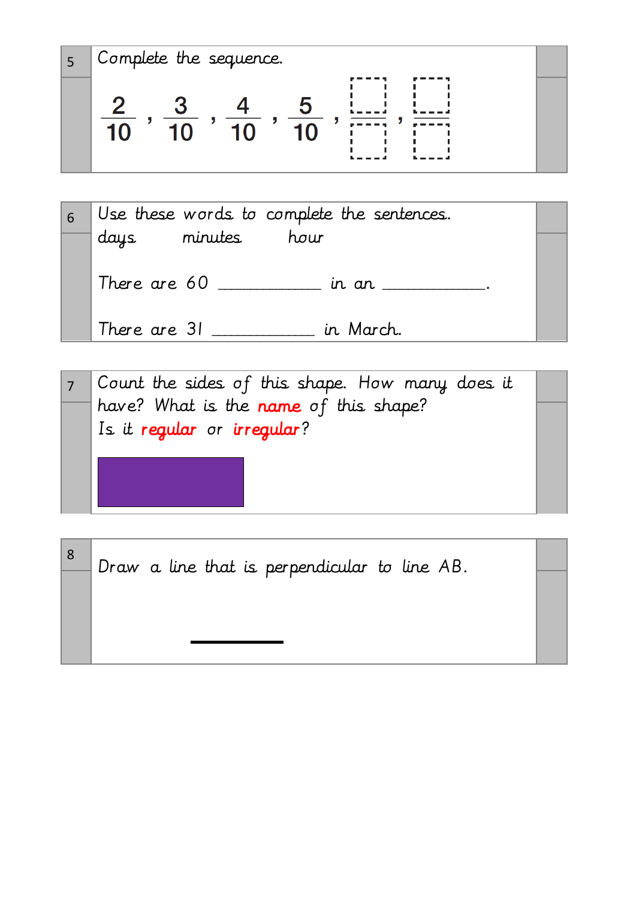5 Complete the sequence.

$$
\frac{2}{10}, \frac{3}{10}, \frac{4}{10}, \frac{5}{10}, \frac{1}{10}, \frac{1}{100}, \frac{1}{1000}
$$

| 6 |                   | Use these words to complete the sentences. |  |
|---|-------------------|--------------------------------------------|--|
|   | days minutes hour |                                            |  |
|   | There are 60      | in an ____                                 |  |
|   | There are 31      | in March.                                  |  |

7 Count the sides of this shape. How many does it have? What is the name of this shape? Is it regular or irregular?

8 Draw a line that is perpendicular to line AB.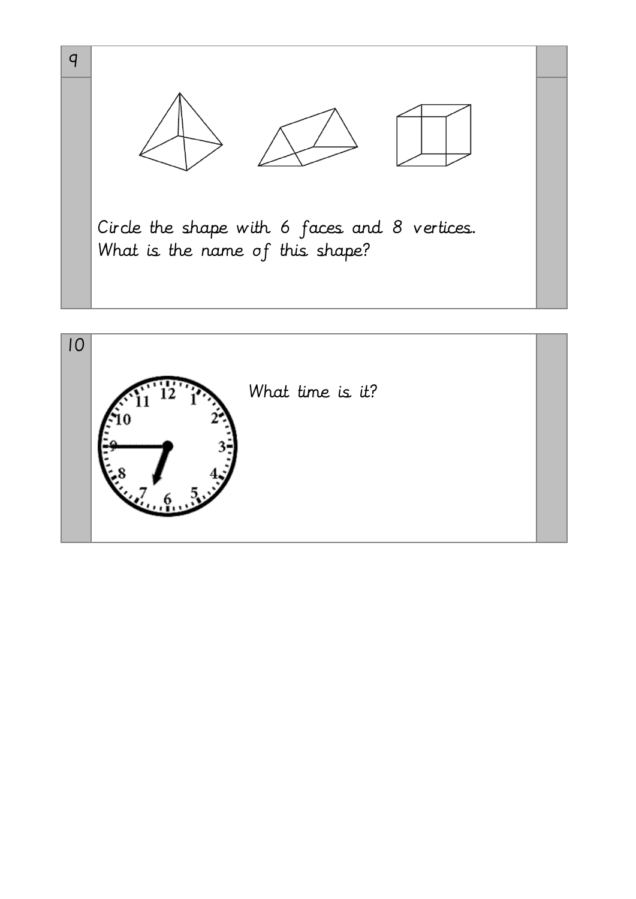

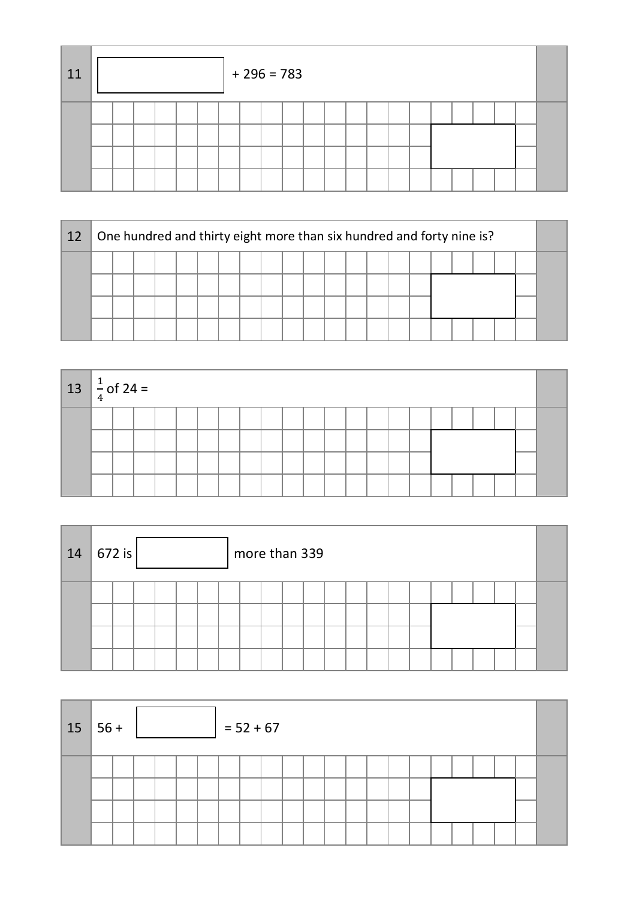| 11 |  |  |  | $+296=783$ |  |  |  |  |  |  |  |
|----|--|--|--|------------|--|--|--|--|--|--|--|
|    |  |  |  |            |  |  |  |  |  |  |  |
|    |  |  |  |            |  |  |  |  |  |  |  |

| 12 |  |  |  | One hundred and thirty eight more than six hundred and forty nine is? |  |  |  |  |  |  |  |
|----|--|--|--|-----------------------------------------------------------------------|--|--|--|--|--|--|--|
|    |  |  |  |                                                                       |  |  |  |  |  |  |  |
|    |  |  |  |                                                                       |  |  |  |  |  |  |  |
|    |  |  |  |                                                                       |  |  |  |  |  |  |  |
|    |  |  |  |                                                                       |  |  |  |  |  |  |  |

| $13 \int_{4}^{1}$ of 24 = |  |  |  |  |  |  |  |  |  |  |  |
|---------------------------|--|--|--|--|--|--|--|--|--|--|--|
|                           |  |  |  |  |  |  |  |  |  |  |  |
|                           |  |  |  |  |  |  |  |  |  |  |  |
|                           |  |  |  |  |  |  |  |  |  |  |  |
|                           |  |  |  |  |  |  |  |  |  |  |  |

| 14 | 672 is |  |  |  |  | more than 339 |  |  |  |  |  |  |
|----|--------|--|--|--|--|---------------|--|--|--|--|--|--|
|    |        |  |  |  |  |               |  |  |  |  |  |  |

| 15 | $\vert 56 +$ |  |  |  | $= 52 + 67$ |  |  |  |  |  |  |  |
|----|--------------|--|--|--|-------------|--|--|--|--|--|--|--|
|    |              |  |  |  |             |  |  |  |  |  |  |  |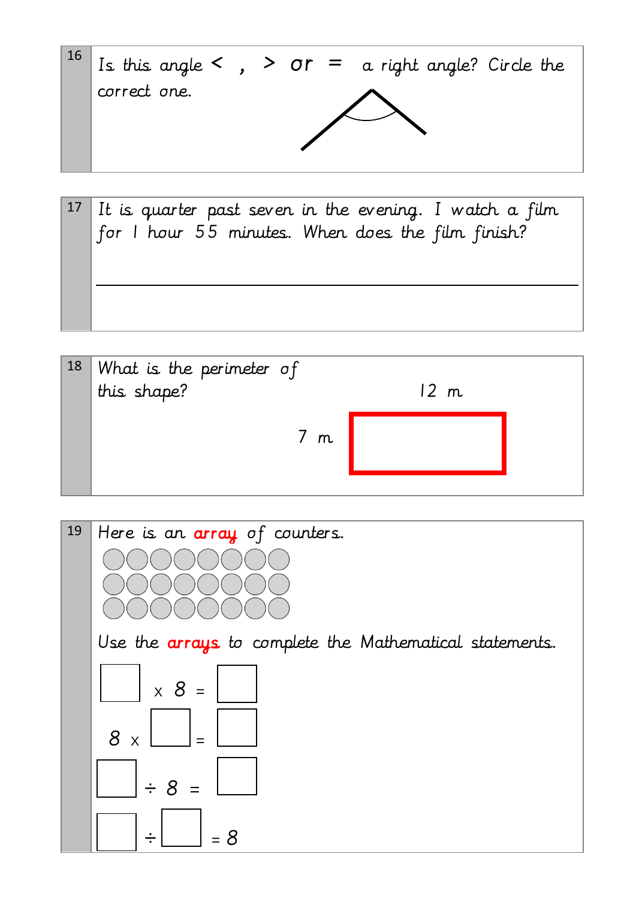

| $17$ It is quarter past seven in the evening. I watch a film |
|--------------------------------------------------------------|
| for I hour 55 minutes. When does the film finish?            |
|                                                              |
|                                                              |
|                                                              |
|                                                              |

| $18$ What is the perimeter of<br>this shape? |      |  |
|----------------------------------------------|------|--|
|                                              | 12 m |  |
|                                              |      |  |
| 7m                                           |      |  |
|                                              |      |  |
|                                              |      |  |

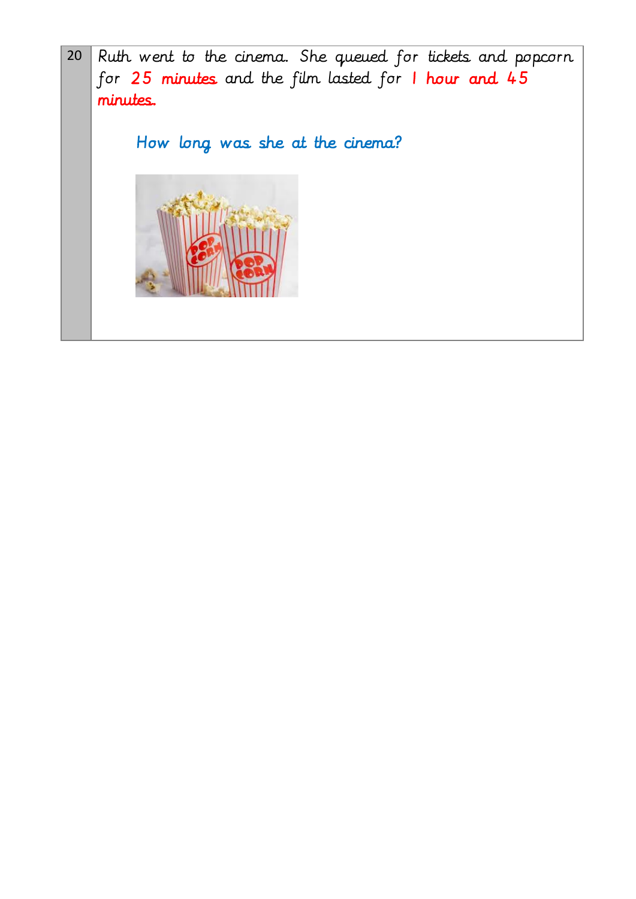